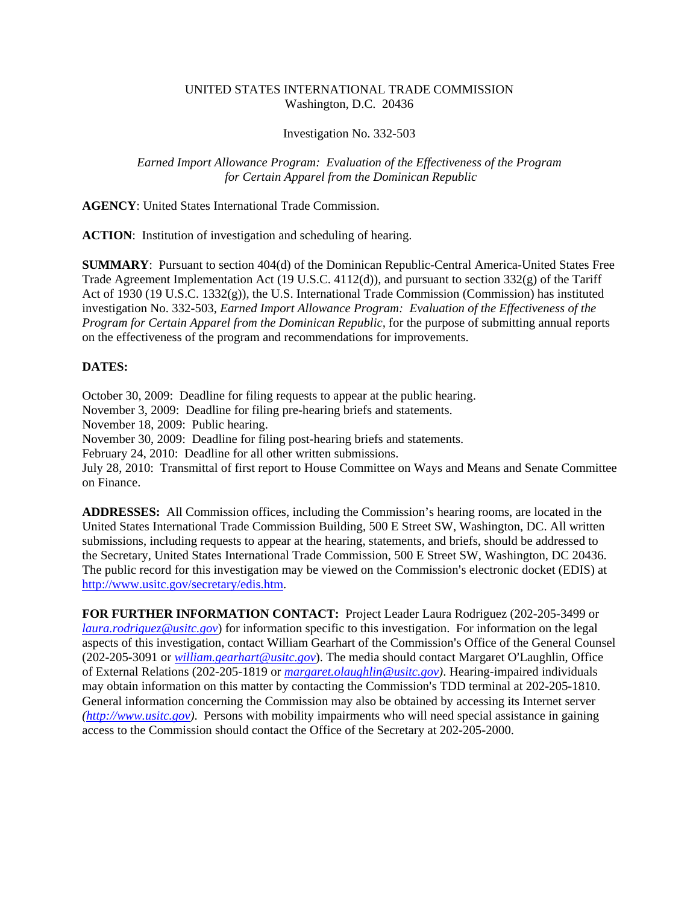## UNITED STATES INTERNATIONAL TRADE COMMISSION Washington, D.C. 20436

## Investigation No. 332-503

## *Earned Import Allowance Program: Evaluation of the Effectiveness of the Program for Certain Apparel from the Dominican Republic*

**AGENCY**: United States International Trade Commission.

**ACTION**: Institution of investigation and scheduling of hearing.

**SUMMARY**: Pursuant to section 404(d) of the Dominican Republic-Central America-United States Free Trade Agreement Implementation Act (19 U.S.C. 4112(d)), and pursuant to section  $332(g)$  of the Tariff Act of 1930 (19 U.S.C. 1332(g)), the U.S. International Trade Commission (Commission) has instituted investigation No. 332-503, *Earned Import Allowance Program: Evaluation of the Effectiveness of the Program for Certain Apparel from the Dominican Republic,* for the purpose of submitting annual reports on the effectiveness of the program and recommendations for improvements.

## **DATES:**

October 30, 2009: Deadline for filing requests to appear at the public hearing. November 3, 2009: Deadline for filing pre-hearing briefs and statements. November 18, 2009: Public hearing. November 30, 2009: Deadline for filing post-hearing briefs and statements. February 24, 2010: Deadline for all other written submissions. July 28, 2010: Transmittal of first report to House Committee on Ways and Means and Senate Committee on Finance.

**ADDRESSES:** All Commission offices, including the Commission's hearing rooms, are located in the United States International Trade Commission Building, 500 E Street SW, Washington, DC. All written submissions, including requests to appear at the hearing, statements, and briefs, should be addressed to the Secretary, United States International Trade Commission, 500 E Street SW, Washington, DC 20436. The public record for this investigation may be viewed on the Commission's electronic docket (EDIS) at http://www.usitc.gov/secretary/edis.htm.

**FOR FURTHER INFORMATION CONTACT:** Project Leader Laura Rodriguez (202-205-3499 or *laura.rodriguez@usitc.gov*) for information specific to this investigation. For information on the legal aspects of this investigation, contact William Gearhart of the Commission's Office of the General Counsel (202-205-3091 or *william.gearhart@usitc.gov*). The media should contact Margaret O'Laughlin, Office of External Relations (202-205-1819 or *margaret.olaughlin@usitc.gov)*. Hearing-impaired individuals may obtain information on this matter by contacting the Commission's TDD terminal at 202-205-1810. General information concerning the Commission may also be obtained by accessing its Internet server *(http://www.usitc.gov)*. Persons with mobility impairments who will need special assistance in gaining access to the Commission should contact the Office of the Secretary at 202-205-2000.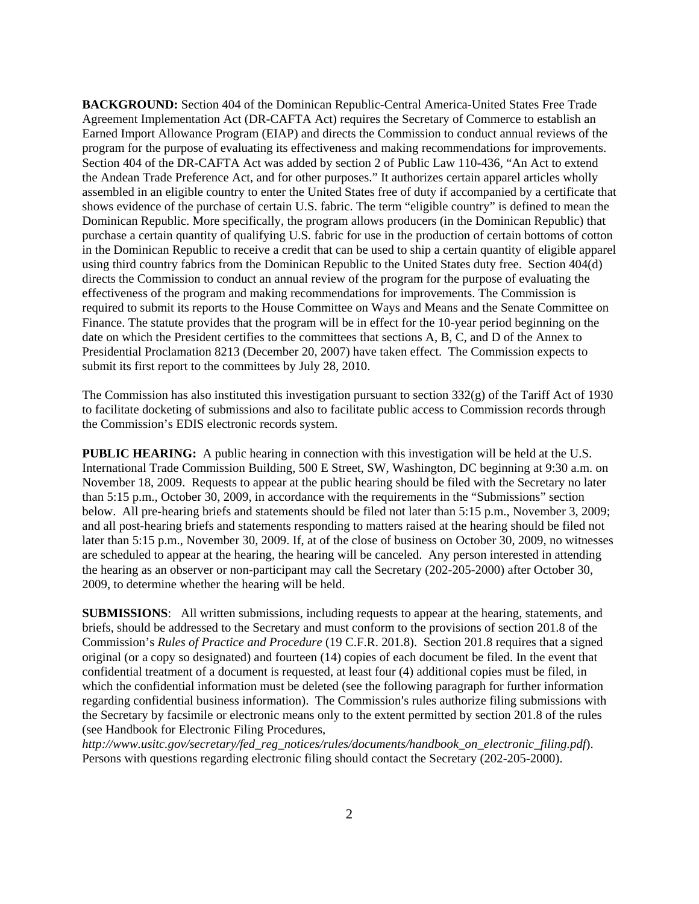**BACKGROUND:** Section 404 of the Dominican Republic-Central America-United States Free Trade Agreement Implementation Act (DR-CAFTA Act) requires the Secretary of Commerce to establish an Earned Import Allowance Program (EIAP) and directs the Commission to conduct annual reviews of the program for the purpose of evaluating its effectiveness and making recommendations for improvements. Section 404 of the DR-CAFTA Act was added by section 2 of Public Law 110-436, "An Act to extend the Andean Trade Preference Act, and for other purposes." It authorizes certain apparel articles wholly assembled in an eligible country to enter the United States free of duty if accompanied by a certificate that shows evidence of the purchase of certain U.S. fabric. The term "eligible country" is defined to mean the Dominican Republic. More specifically, the program allows producers (in the Dominican Republic) that purchase a certain quantity of qualifying U.S. fabric for use in the production of certain bottoms of cotton in the Dominican Republic to receive a credit that can be used to ship a certain quantity of eligible apparel using third country fabrics from the Dominican Republic to the United States duty free. Section 404(d) directs the Commission to conduct an annual review of the program for the purpose of evaluating the effectiveness of the program and making recommendations for improvements. The Commission is required to submit its reports to the House Committee on Ways and Means and the Senate Committee on Finance. The statute provides that the program will be in effect for the 10-year period beginning on the date on which the President certifies to the committees that sections A, B, C, and D of the Annex to Presidential Proclamation 8213 (December 20, 2007) have taken effect. The Commission expects to submit its first report to the committees by July 28, 2010.

The Commission has also instituted this investigation pursuant to section 332(g) of the Tariff Act of 1930 to facilitate docketing of submissions and also to facilitate public access to Commission records through the Commission's EDIS electronic records system.

**PUBLIC HEARING:** A public hearing in connection with this investigation will be held at the U.S. International Trade Commission Building, 500 E Street, SW, Washington, DC beginning at 9:30 a.m. on November 18, 2009. Requests to appear at the public hearing should be filed with the Secretary no later than 5:15 p.m., October 30, 2009, in accordance with the requirements in the "Submissions" section below. All pre-hearing briefs and statements should be filed not later than 5:15 p.m., November 3, 2009; and all post-hearing briefs and statements responding to matters raised at the hearing should be filed not later than 5:15 p.m., November 30, 2009. If, at of the close of business on October 30, 2009, no witnesses are scheduled to appear at the hearing, the hearing will be canceled. Any person interested in attending the hearing as an observer or non-participant may call the Secretary (202-205-2000) after October 30, 2009, to determine whether the hearing will be held.

**SUBMISSIONS**: All written submissions, including requests to appear at the hearing, statements, and briefs, should be addressed to the Secretary and must conform to the provisions of section 201.8 of the Commission's *Rules of Practice and Procedure* (19 C.F.R. 201.8). Section 201.8 requires that a signed original (or a copy so designated) and fourteen (14) copies of each document be filed. In the event that confidential treatment of a document is requested, at least four (4) additional copies must be filed, in which the confidential information must be deleted (see the following paragraph for further information regarding confidential business information). The Commission's rules authorize filing submissions with the Secretary by facsimile or electronic means only to the extent permitted by section 201.8 of the rules (see Handbook for Electronic Filing Procedures,

*http://www.usitc.gov/secretary/fed\_reg\_notices/rules/documents/handbook\_on\_electronic\_filing.pdf*). Persons with questions regarding electronic filing should contact the Secretary (202-205-2000).